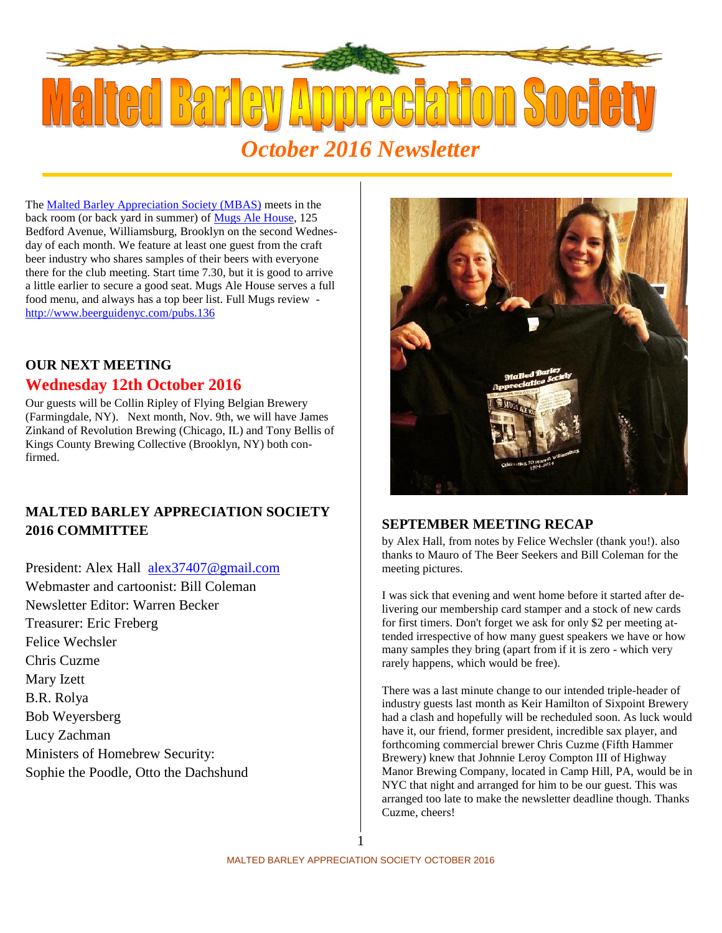

The Malted Barley Appreciation Society (MBAS) meets in the back room (or back yard in summer) of Mugs Ale House, 125 Bedford Avenue, Williamsburg, Brooklyn on the second Wednesday of each month. We feature at least one guest from the craft beer industry who shares samples of their beers with everyone there for the club meeting. Start time 7.30, but it is good to arrive a little earlier to secure a good seat. Mugs Ale House serves a full food menu, and always has a top beer list. Full Mugs review http://www.beerguidenyc.com/pubs.136

## **OUR NEXT MEETING**

#### **Wednesday 12th October 2016**

Our guests will be Collin Ripley of Flying Belgian Brewery (Farmingdale, NY). Next month, Nov. 9th, we will have James Zinkand of Revolution Brewing (Chicago, IL) and Tony Bellis of Kings County Brewing Collective (Brooklyn, NY) both confirmed.

### **MALTED BARLEY APPRECIATION SOCIETY 2016 COMMITTEE**

President: Alex Hall alex37407@gmail.com Webmaster and cartoonist: Bill Coleman Newsletter Editor: Warren Becker Treasurer: Eric Freberg Felice Wechsler Chris Cuzme Mary Izett B.R. Rolya Bob Weyersberg Lucy Zachman Ministers of Homebrew Security: Sophie the Poodle, Otto the Dachshund



#### **SEPTEMBER MEETING RECAP**

by Alex Hall, from notes by Felice Wechsler (thank you!). also thanks to Mauro of The Beer Seekers and Bill Coleman for the meeting pictures.

I was sick that evening and went home before it started after delivering our membership card stamper and a stock of new cards for first timers. Don't forget we ask for only \$2 per meeting attended irrespective of how many guest speakers we have or how many samples they bring (apart from if it is zero - which very rarely happens, which would be free).

There was a last minute change to our intended triple-header of industry guests last month as Keir Hamilton of Sixpoint Brewery had a clash and hopefully will be recheduled soon. As luck would have it, our friend, former president, incredible sax player, and forthcoming commercial brewer Chris Cuzme (Fifth Hammer Brewery) knew that Johnnie Leroy Compton III of Highway Manor Brewing Company, located in Camp Hill, PA, would be in NYC that night and arranged for him to be our guest. This was arranged too late to make the newsletter deadline though. Thanks Cuzme, cheers!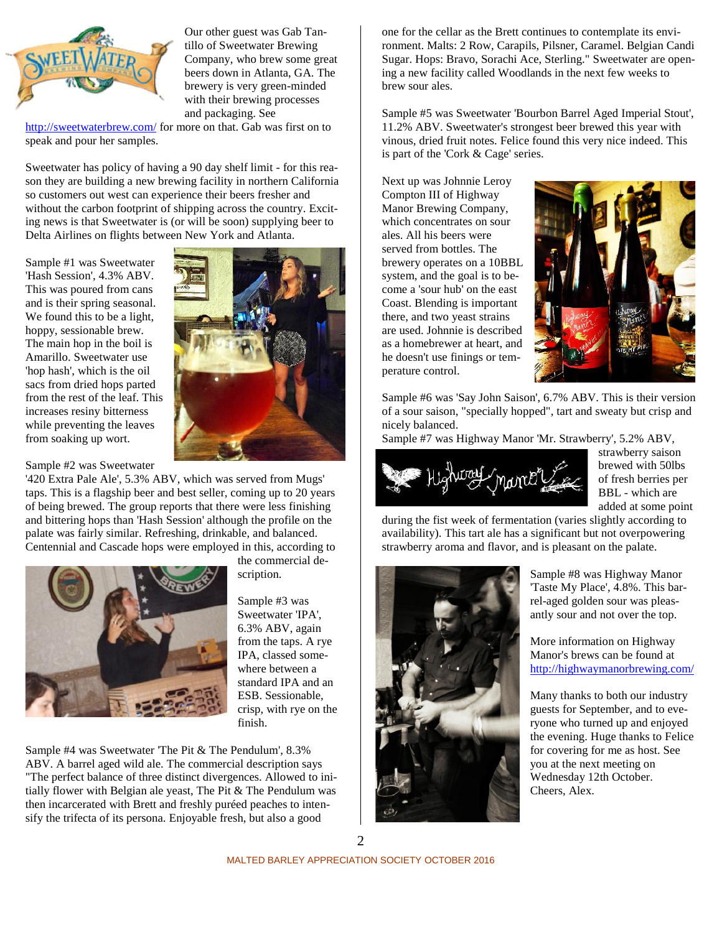

Our other guest was Gab Tantillo of Sweetwater Brewing Company, who brew some great beers down in Atlanta, GA. The brewery is very green-minded with their brewing processes and packaging. See

http://sweetwaterbrew.com/ for more on that. Gab was first on to speak and pour her samples.

Sweetwater has policy of having a 90 day shelf limit - for this reason they are building a new brewing facility in northern California so customers out west can experience their beers fresher and without the carbon footprint of shipping across the country. Exciting news is that Sweetwater is (or will be soon) supplying beer to Delta Airlines on flights between New York and Atlanta.

Sample #1 was Sweetwater 'Hash Session', 4.3% ABV. This was poured from cans and is their spring seasonal. We found this to be a light, hoppy, sessionable brew. The main hop in the boil is Amarillo. Sweetwater use 'hop hash', which is the oil sacs from dried hops parted from the rest of the leaf. This increases resiny bitterness while preventing the leaves from soaking up wort.



Sample #2 was Sweetwater

'420 Extra Pale Ale', 5.3% ABV, which was served from Mugs' taps. This is a flagship beer and best seller, coming up to 20 years of being brewed. The group reports that there were less finishing and bittering hops than 'Hash Session' although the profile on the palate was fairly similar. Refreshing, drinkable, and balanced. Centennial and Cascade hops were employed in this, according to



the commercial description.

Sample #3 was Sweetwater 'IPA', 6.3% ABV, again from the taps. A rye IPA, classed somewhere between a standard IPA and an ESB. Sessionable, crisp, with rye on the finish.

Sample #4 was Sweetwater 'The Pit & The Pendulum', 8.3% ABV. A barrel aged wild ale. The commercial description says "The perfect balance of three distinct divergences. Allowed to initially flower with Belgian ale yeast, The Pit & The Pendulum was then incarcerated with Brett and freshly puréed peaches to intensify the trifecta of its persona. Enjoyable fresh, but also a good

one for the cellar as the Brett continues to contemplate its environment. Malts: 2 Row, Carapils, Pilsner, Caramel. Belgian Candi Sugar. Hops: Bravo, Sorachi Ace, Sterling." Sweetwater are opening a new facility called Woodlands in the next few weeks to brew sour ales.

Sample #5 was Sweetwater 'Bourbon Barrel Aged Imperial Stout', 11.2% ABV. Sweetwater's strongest beer brewed this year with vinous, dried fruit notes. Felice found this very nice indeed. This is part of the 'Cork & Cage' series.

Next up was Johnnie Leroy Compton III of Highway Manor Brewing Company, which concentrates on sour ales. All his beers were served from bottles. The brewery operates on a 10BBL system, and the goal is to become a 'sour hub' on the east Coast. Blending is important there, and two yeast strains are used. Johnnie is described as a homebrewer at heart, and he doesn't use finings or temperature control.



Sample #6 was 'Say John Saison', 6.7% ABV. This is their version of a sour saison, "specially hopped", tart and sweaty but crisp and nicely balanced.

Sample #7 was Highway Manor 'Mr. Strawberry', 5.2% ABV,

strawberry saison brewed with 50lbs of fresh berries per BBL - which are added at some point

during the fist week of fermentation (varies slightly according to availability). This tart ale has a significant but not overpowering strawberry aroma and flavor, and is pleasant on the palate.



Sample #8 was Highway Manor 'Taste My Place', 4.8%. This barrel-aged golden sour was pleasantly sour and not over the top.

More information on Highway Manor's brews can be found at http://highwaymanorbrewing.com/

Many thanks to both our industry guests for September, and to everyone who turned up and enjoyed the evening. Huge thanks to Felice for covering for me as host. See you at the next meeting on Wednesday 12th October. Cheers, Alex.